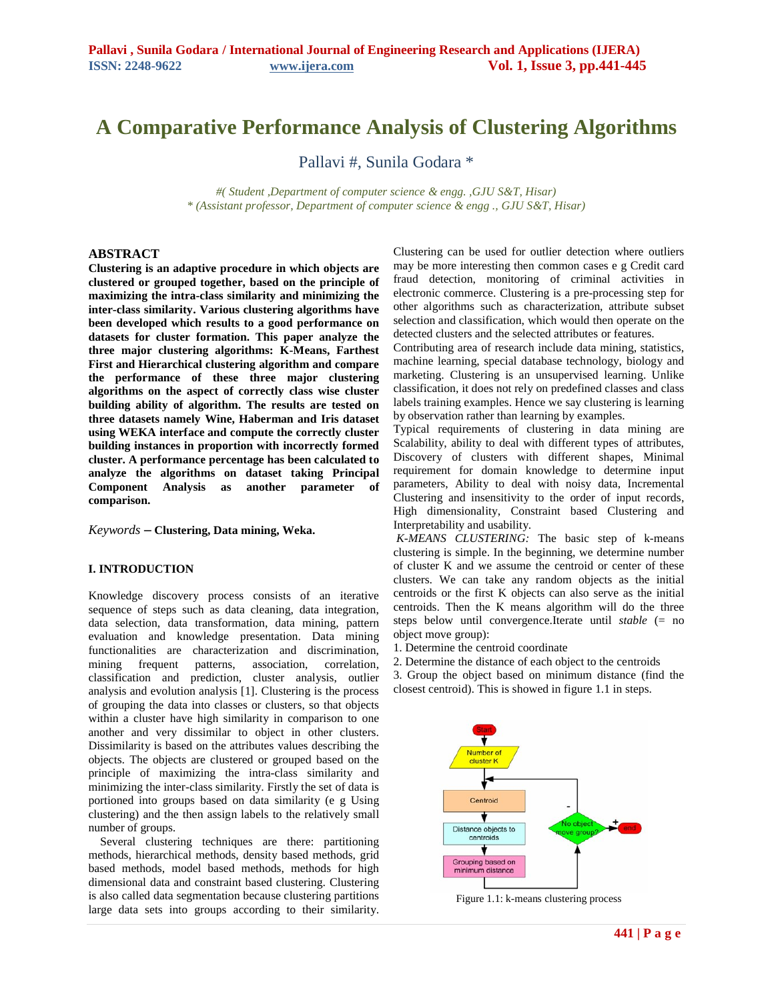# **A Comparative Performance Analysis of Clustering Algorithms**

Pallavi #, Sunila Godara \*

*#( Student ,Department of computer science & engg. ,GJU S&T, Hisar) \* (Assistant professor, Department of computer science & engg ., GJU S&T, Hisar)*

## **ABSTRACT**

**Clustering is an adaptive procedure in which objects are clustered or grouped together, based on the principle of maximizing the intra-class similarity and minimizing the inter-class similarity. Various clustering algorithms have been developed which results to a good performance on datasets for cluster formation. This paper analyze the three major clustering algorithms: K-Means, Farthest First and Hierarchical clustering algorithm and compare the performance of these three major clustering algorithms on the aspect of correctly class wise cluster building ability of algorithm. The results are tested on three datasets namely Wine, Haberman and Iris dataset using WEKA interface and compute the correctly cluster building instances in proportion with incorrectly formed cluster. A performance percentage has been calculated to analyze the algorithms on dataset taking Principal Component Analysis as another parameter of comparison.**

*Keywords* **– Clustering, Data mining, Weka.**

## **I. INTRODUCTION**

Knowledge discovery process consists of an iterative sequence of steps such as data cleaning, data integration, data selection, data transformation, data mining, pattern evaluation and knowledge presentation. Data mining functionalities are characterization and discrimination, mining frequent patterns, association, correlation, classification and prediction, cluster analysis, outlier analysis and evolution analysis [1]. Clustering is the process of grouping the data into classes or clusters, so that objects within a cluster have high similarity in comparison to one another and very dissimilar to object in other clusters. Dissimilarity is based on the attributes values describing the objects. The objects are clustered or grouped based on the principle of maximizing the intra-class similarity and minimizing the inter-class similarity. Firstly the set of data is portioned into groups based on data similarity (e g Using clustering) and the then assign labels to the relatively small number of groups.

 Several clustering techniques are there: partitioning methods, hierarchical methods, density based methods, grid based methods, model based methods, methods for high dimensional data and constraint based clustering. Clustering is also called data segmentation because clustering partitions large data sets into groups according to their similarity.

Clustering can be used for outlier detection where outliers may be more interesting then common cases e g Credit card fraud detection, monitoring of criminal activities in electronic commerce. Clustering is a pre-processing step for other algorithms such as characterization, attribute subset selection and classification, which would then operate on the detected clusters and the selected attributes or features.

Contributing area of research include data mining, statistics, machine learning, special database technology, biology and marketing. Clustering is an unsupervised learning. Unlike classification, it does not rely on predefined classes and class labels training examples. Hence we say clustering is learning by observation rather than learning by examples.

Typical requirements of clustering in data mining are Scalability, ability to deal with different types of attributes, Discovery of clusters with different shapes, Minimal requirement for domain knowledge to determine input parameters, Ability to deal with noisy data, Incremental Clustering and insensitivity to the order of input records, High dimensionality, Constraint based Clustering and Interpretability and usability.

*K-MEANS CLUSTERING:* The basic step of k-means clustering is simple. In the beginning, we determine number of cluster K and we assume the centroid or center of these clusters. We can take any random objects as the initial centroids or the first K objects can also serve as the initial centroids. Then the K means algorithm will do the three steps below until convergence.Iterate until *stable* (= no object move group):

1. Determine the centroid coordinate

2. Determine the distance of each object to the centroids

3. Group the object based on minimum distance (find the closest centroid). This is showed in figure 1.1 in steps.



Figure 1.1: k-means clustering process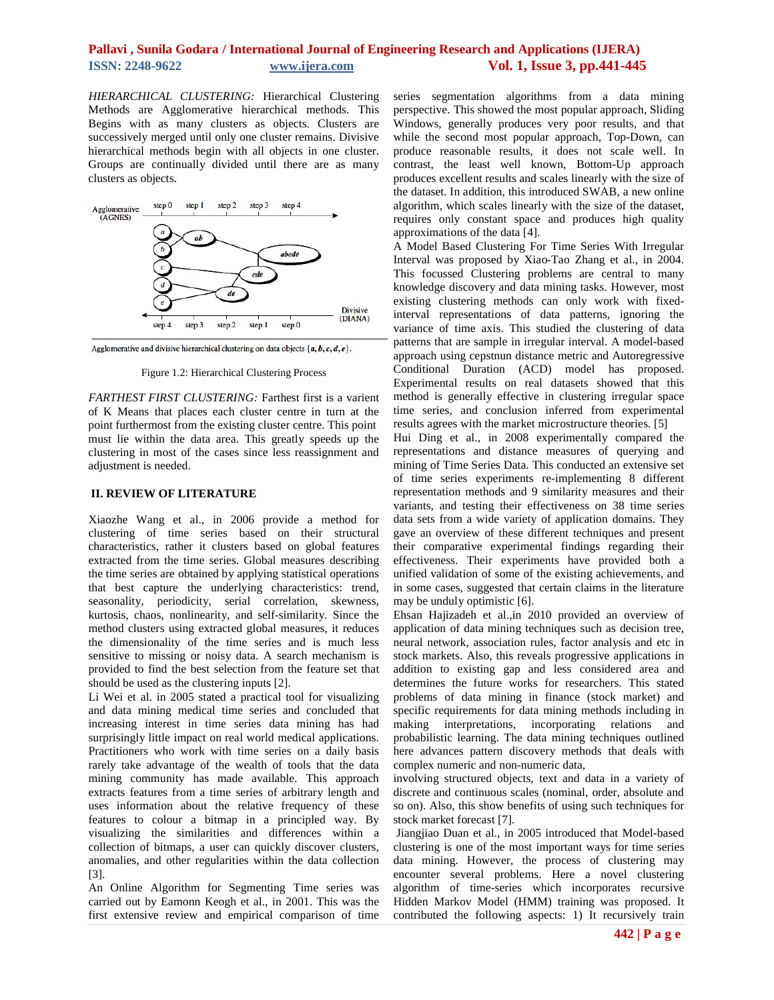## **Pallavi , Sunila Godara / International Journal of Engineering Research and Applications (IJERA) ISSN: 2248-9622 www.ijera.com****Vol. 1, Issue 3, pp.441-445**

*HIERARCHICAL CLUSTERING:* Hierarchical Clustering Methods are Agglomerative hierarchical methods. This Begins with as many clusters as objects. Clusters are successively merged until only one cluster remains. Divisive hierarchical methods begin with all objects in one cluster. Groups are continually divided until there are as many clusters as objects.



Agglomerative and divisive hierarchical clustering on data objects  $\{a, b, c, d, e\}$ .

Figure 1.2: Hierarchical Clustering Process

*FARTHEST FIRST CLUSTERING:* Farthest first is a varient of K Means that places each cluster centre in turn at the point furthermost from the existing cluster centre. This point must lie within the data area. This greatly speeds up the clustering in most of the cases since less reassignment and adjustment is needed.

#### **II. REVIEW OF LITERATURE**

Xiaozhe Wang et al., in 2006 provide a method for clustering of time series based on their structural characteristics, rather it clusters based on global features extracted from the time series. Global measures describing the time series are obtained by applying statistical operations that best capture the underlying characteristics: trend, seasonality, periodicity, serial correlation, skewness, kurtosis, chaos, nonlinearity, and self-similarity. Since the method clusters using extracted global measures, it reduces the dimensionality of the time series and is much less sensitive to missing or noisy data. A search mechanism is provided to find the best selection from the feature set that should be used as the clustering inputs [2].

Li Wei et al. in 2005 stated a practical tool for visualizing and data mining medical time series and concluded that increasing interest in time series data mining has had surprisingly little impact on real world medical applications. Practitioners who work with time series on a daily basis rarely take advantage of the wealth of tools that the data mining community has made available. This approach extracts features from a time series of arbitrary length and uses information about the relative frequency of these features to colour a bitmap in a principled way. By visualizing the similarities and differences within a collection of bitmaps, a user can quickly discover clusters, anomalies, and other regularities within the data collection [3].

An Online Algorithm for Segmenting Time series was carried out by Eamonn Keogh et al., in 2001. This was the first extensive review and empirical comparison of time

series segmentation algorithms from a data mining perspective. This showed the most popular approach, Sliding Windows, generally produces very poor results, and that while the second most popular approach, Top-Down, can produce reasonable results, it does not scale well. In contrast, the least well known, Bottom-Up approach produces excellent results and scales linearly with the size of the dataset. In addition, this introduced SWAB, a new online algorithm, which scales linearly with the size of the dataset, requires only constant space and produces high quality approximations of the data [4].

A Model Based Clustering For Time Series With Irregular Interval was proposed by Xiao-Tao Zhang et al., in 2004. This focussed Clustering problems are central to many knowledge discovery and data mining tasks. However, most existing clustering methods can only work with fixedinterval representations of data patterns, ignoring the variance of time axis. This studied the clustering of data patterns that are sample in irregular interval. A model-based approach using cepstnun distance metric and Autoregressive Conditional Duration (ACD) model has proposed. Experimental results on real datasets showed that this method is generally effective in clustering irregular space time series, and conclusion inferred from experimental results agrees with the market microstructure theories. [5] Hui Ding et al., in 2008 experimentally compared the representations and distance measures of querying and

mining of Time Series Data. This conducted an extensive set of time series experiments re-implementing 8 different representation methods and 9 similarity measures and their variants, and testing their effectiveness on 38 time series data sets from a wide variety of application domains. They gave an overview of these different techniques and present their comparative experimental findings regarding their effectiveness. Their experiments have provided both a unified validation of some of the existing achievements, and in some cases, suggested that certain claims in the literature may be unduly optimistic [6].

Ehsan Hajizadeh et al.,in 2010 provided an overview of application of data mining techniques such as decision tree, neural network, association rules, factor analysis and etc in stock markets. Also, this reveals progressive applications in addition to existing gap and less considered area and determines the future works for researchers. This stated problems of data mining in finance (stock market) and specific requirements for data mining methods including in making interpretations, incorporating relations and probabilistic learning. The data mining techniques outlined here advances pattern discovery methods that deals with complex numeric and non-numeric data,

involving structured objects, text and data in a variety of discrete and continuous scales (nominal, order, absolute and so on). Also, this show benefits of using such techniques for stock market forecast [7].

Jiangjiao Duan et al., in 2005 introduced that Model-based clustering is one of the most important ways for time series data mining. However, the process of clustering may encounter several problems. Here a novel clustering algorithm of time-series which incorporates recursive Hidden Markov Model (HMM) training was proposed. It contributed the following aspects: 1) It recursively train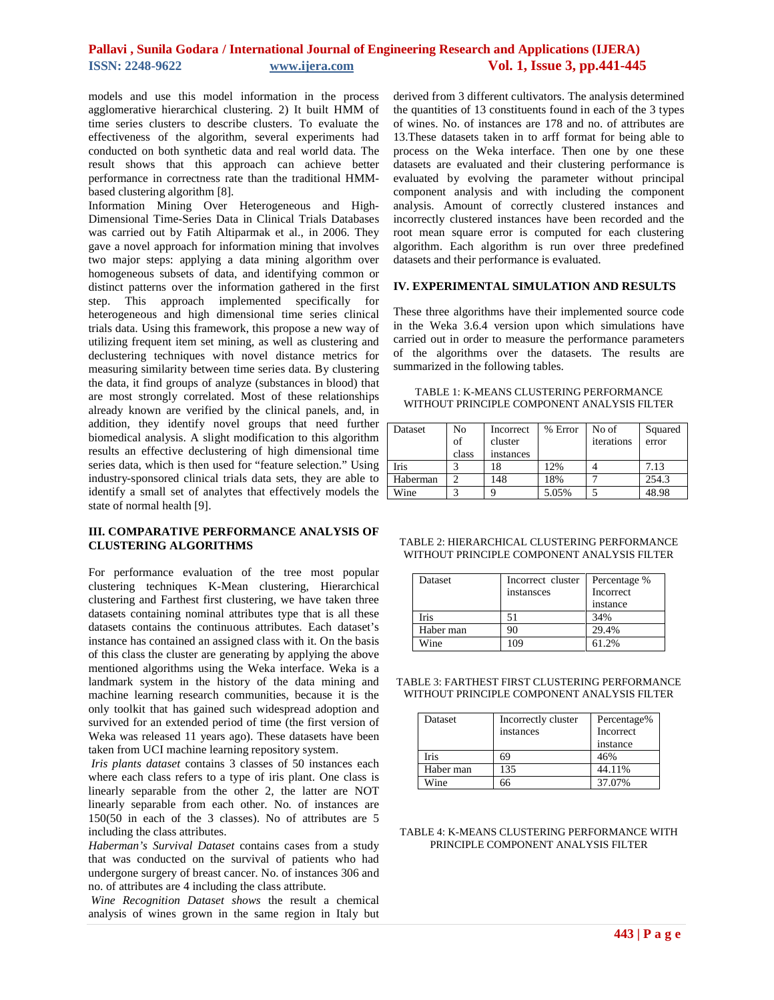# **Pallavi , Sunila Godara / International Journal of Engineering Research and Applications (IJERA) ISSN: 2248-9622 www.ijera.com****Vol. 1, Issue 3, pp.441-445**

models and use this model information in the process agglomerative hierarchical clustering. 2) It built HMM of time series clusters to describe clusters. To evaluate the effectiveness of the algorithm, several experiments had conducted on both synthetic data and real world data. The result shows that this approach can achieve better performance in correctness rate than the traditional HMMbased clustering algorithm [8].

Information Mining Over Heterogeneous and High-Dimensional Time-Series Data in Clinical Trials Databases was carried out by Fatih Altiparmak et al., in 2006. They gave a novel approach for information mining that involves two major steps: applying a data mining algorithm over homogeneous subsets of data, and identifying common or distinct patterns over the information gathered in the first step. This approach implemented specifically for heterogeneous and high dimensional time series clinical trials data. Using this framework, this propose a new way of utilizing frequent item set mining, as well as clustering and declustering techniques with novel distance metrics for measuring similarity between time series data. By clustering the data, it find groups of analyze (substances in blood) that are most strongly correlated. Most of these relationships already known are verified by the clinical panels, and, in addition, they identify novel groups that need further biomedical analysis. A slight modification to this algorithm results an effective declustering of high dimensional time series data, which is then used for "feature selection." Using industry-sponsored clinical trials data sets, they are able to identify a small set of analytes that effectively models the state of normal health [9].

#### **III. COMPARATIVE PERFORMANCE ANALYSIS OF CLUSTERING ALGORITHMS**

For performance evaluation of the tree most popular clustering techniques K-Mean clustering, Hierarchical clustering and Farthest first clustering, we have taken three datasets containing nominal attributes type that is all these datasets contains the continuous attributes. Each dataset's instance has contained an assigned class with it. On the basis of this class the cluster are generating by applying the above mentioned algorithms using the Weka interface. Weka is a landmark system in the history of the data mining and machine learning research communities, because it is the only toolkit that has gained such widespread adoption and survived for an extended period of time (the first version of Weka was released 11 years ago). These datasets have been taken from UCI machine learning repository system.

*Iris plants dataset* contains 3 classes of 50 instances each where each class refers to a type of iris plant. One class is linearly separable from the other 2, the latter are NOT linearly separable from each other. No. of instances are 150(50 in each of the 3 classes). No of attributes are 5 including the class attributes.

*Haberman's Survival Dataset* contains cases from a study that was conducted on the survival of patients who had undergone surgery of breast cancer. No. of instances 306 and no. of attributes are 4 including the class attribute.

*Wine Recognition Dataset shows* the result a chemical analysis of wines grown in the same region in Italy but

derived from 3 different cultivators. The analysis determined the quantities of 13 constituents found in each of the 3 types of wines. No. of instances are 178 and no. of attributes are 13.These datasets taken in to arff format for being able to process on the Weka interface. Then one by one these datasets are evaluated and their clustering performance is evaluated by evolving the parameter without principal component analysis and with including the component analysis. Amount of correctly clustered instances and incorrectly clustered instances have been recorded and the root mean square error is computed for each clustering algorithm. Each algorithm is run over three predefined datasets and their performance is evaluated.

#### **IV. EXPERIMENTAL SIMULATION AND RESULTS**

These three algorithms have their implemented source code in the Weka 3.6.4 version upon which simulations have carried out in order to measure the performance parameters of the algorithms over the datasets. The results are summarized in the following tables.

TABLE 1: K-MEANS CLUSTERING PERFORMANCE WITHOUT PRINCIPLE COMPONENT ANALYSIS FILTER

| Dataset  | No<br>of<br>class | Incorrect<br>cluster<br>instances | % Error | No of<br>iterations | Squared<br>error |
|----------|-------------------|-----------------------------------|---------|---------------------|------------------|
| Iris     |                   |                                   | 12%     |                     | 7.13             |
| Haberman |                   | 148                               | 18%     |                     | 254.3            |
| Wine     |                   |                                   | 5.05%   |                     | 48.98            |

| TABLE 2: HIERARCHICAL CLUSTERING PERFORMANCE |
|----------------------------------------------|
| WITHOUT PRINCIPLE COMPONENT ANALYSIS FILTER  |

| Dataset   | Incorrect cluster<br>instansces | Percentage %<br>Incorrect<br>instance |
|-----------|---------------------------------|---------------------------------------|
| Iris      |                                 | 34%                                   |
| Haber man | -11                             | 29.4%                                 |
| Wine      | ng                              | 61.2%                                 |

TABLE 3: FARTHEST FIRST CLUSTERING PERFORMANCE WITHOUT PRINCIPLE COMPONENT ANALYSIS FILTER

| Dataset     | Incorrectly cluster<br>instances | Percentage%<br>Incorrect<br>instance |
|-------------|----------------------------------|--------------------------------------|
| <b>Iris</b> | 69                               | 46%                                  |
| Haber man   | 135                              | 44.11%                               |
| Wine        |                                  | 37.07%                               |

TABLE 4: K-MEANS CLUSTERING PERFORMANCE WITH PRINCIPLE COMPONENT ANALYSIS FILTER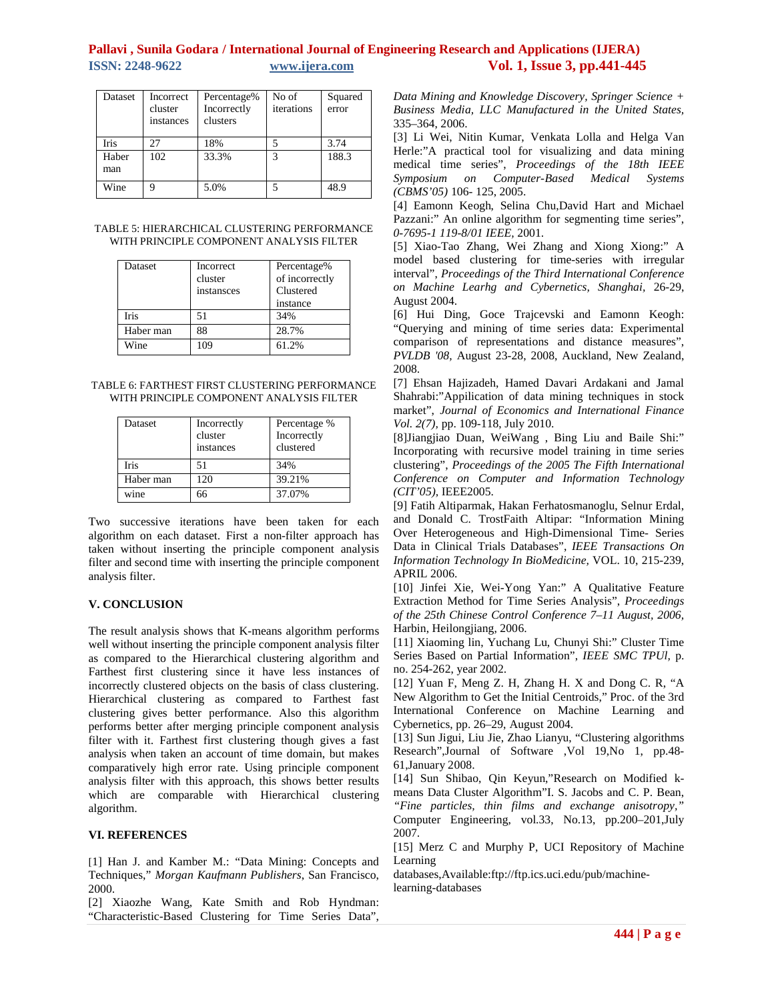# **Pallavi , Sunila Godara / International Journal of Engineering Research and Applications (IJERA) ISSN: 2248-9622 www.ijera.com****Vol. 1, Issue 3, pp.441-445**

| Dataset      | Incorrect<br>cluster<br>instances | Percentage%<br>Incorrectly<br>clusters | No of<br>iterations | Squared<br>error |
|--------------|-----------------------------------|----------------------------------------|---------------------|------------------|
| Iris         | 27                                | 18%                                    |                     | 3.74             |
| Haber<br>man | 102                               | 33.3%                                  | 3                   | 188.3            |
| Wine         | Q                                 | 5.0%                                   |                     | 48.9             |

TABLE 5: HIERARCHICAL CLUSTERING PERFORMANCE WITH PRINCIPLE COMPONENT ANALYSIS FILTER

| Dataset     | Incorrect<br>cluster<br>instansces | Percentage%<br>of incorrectly<br>Clustered<br>instance |
|-------------|------------------------------------|--------------------------------------------------------|
| <b>Iris</b> | 51                                 | 34%                                                    |
| Haber man   | 88                                 | 28.7%                                                  |
| Wine        | 109                                | 61.2%                                                  |

TABLE 6: FARTHEST FIRST CLUSTERING PERFORMANCE WITH PRINCIPLE COMPONENT ANALYSIS FILTER

| Dataset   | Incorrectly<br>cluster<br>instances | Percentage %<br>Incorrectly<br>clustered |
|-----------|-------------------------------------|------------------------------------------|
| Iris      | 51                                  | 34%                                      |
| Haber man | 120                                 | 39.21%                                   |
| wine      |                                     | 37.07%                                   |

Two successive iterations have been taken for each algorithm on each dataset. First a non-filter approach has taken without inserting the principle component analysis filter and second time with inserting the principle component analysis filter.

## **V. CONCLUSION**

The result analysis shows that K-means algorithm performs well without inserting the principle component analysis filter as compared to the Hierarchical clustering algorithm and Farthest first clustering since it have less instances of incorrectly clustered objects on the basis of class clustering. Hierarchical clustering as compared to Farthest fast clustering gives better performance. Also this algorithm performs better after merging principle component analysis filter with it. Farthest first clustering though gives a fast analysis when taken an account of time domain, but makes comparatively high error rate. Using principle component analysis filter with this approach, this shows better results which are comparable with Hierarchical clustering algorithm.

#### **VI. REFERENCES**

[1] Han J. and Kamber M.: "Data Mining: Concepts and Techniques," *Morgan Kaufmann Publishers*, San Francisco, 2000.

[2] Xiaozhe Wang, Kate Smith and Rob Hyndman: "Characteristic-Based Clustering for Time Series Data", *Data Mining and Knowledge Discovery, Springer Science + Business Media, LLC Manufactured in the United States,*  335–364, 2006.

[3] Li Wei, Nitin Kumar, Venkata Lolla and Helga Van Herle:"A practical tool for visualizing and data mining medical time series", *Proceedings of the 18th IEEE Symposium on Computer-Based Medical Systems (CBMS'05)* 106- 125, 2005.

[4] Eamonn Keogh, Selina Chu,David Hart and Michael Pazzani:" An online algorithm for segmenting time series", *0-7695-1 119-8/01 IEEE,* 2001.

[5] Xiao-Tao Zhang, Wei Zhang and Xiong Xiong:" A model based clustering for time-series with irregular interval", *Proceedings of the Third International Conference on Machine Learhg and Cybernetics, Shanghai,* 26-29, August 2004.

[6] Hui Ding, Goce Trajcevski and Eamonn Keogh: "Querying and mining of time series data: Experimental comparison of representations and distance measures", *PVLDB '08,* August 23-28, 2008, Auckland, New Zealand, 2008.

[7] Ehsan Hajizadeh, Hamed Davari Ardakani and Jamal Shahrabi:"Appilication of data mining techniques in stock market", *Journal of Economics and International Finance Vol. 2(7),* pp. 109-118, July 2010.

[8]Jiangjiao Duan, WeiWang , Bing Liu and Baile Shi:" Incorporating with recursive model training in time series clustering", *Proceedings of the 2005 The Fifth International Conference on Computer and Information Technology (CIT'05),* IEEE2005.

[9] Fatih Altiparmak, Hakan Ferhatosmanoglu, Selnur Erdal, and Donald C. TrostFaith Altipar: "Information Mining Over Heterogeneous and High-Dimensional Time- Series Data in Clinical Trials Databases", *IEEE Transactions On Information Technology In BioMedicine,* VOL. 10, 215-239, APRIL 2006.

[10] Jinfei Xie, Wei-Yong Yan:" A Qualitative Feature Extraction Method for Time Series Analysis", *Proceedings of the 25th Chinese Control Conference 7–11 August, 2006,*  Harbin, Heilongjiang, 2006.

[11] Xiaoming lin, Yuchang Lu, Chunyi Shi:" Cluster Time Series Based on Partial Information", *IEEE SMC TPUl,* p. no. 254-262, year 2002.

[12] Yuan F, Meng Z. H, Zhang H. X and Dong C. R, "A New Algorithm to Get the Initial Centroids," Proc. of the 3rd International Conference on Machine Learning and Cybernetics, pp. 26–29, August 2004.

[13] Sun Jigui, Liu Jie, Zhao Lianyu, "Clustering algorithms Research",Journal of Software ,Vol 19,No 1, pp.48- 61,January 2008.

[14] Sun Shibao, Qin Keyun,"Research on Modified kmeans Data Cluster Algorithm"I. S. Jacobs and C. P. Bean, *"Fine particles, thin films and exchange anisotropy,"* Computer Engineering, vol.33, No.13, pp.200–201,July 2007.

[15] Merz C and Murphy P, UCI Repository of Machine Learning

databases,Available:ftp://ftp.ics.uci.edu/pub/machinelearning-databases